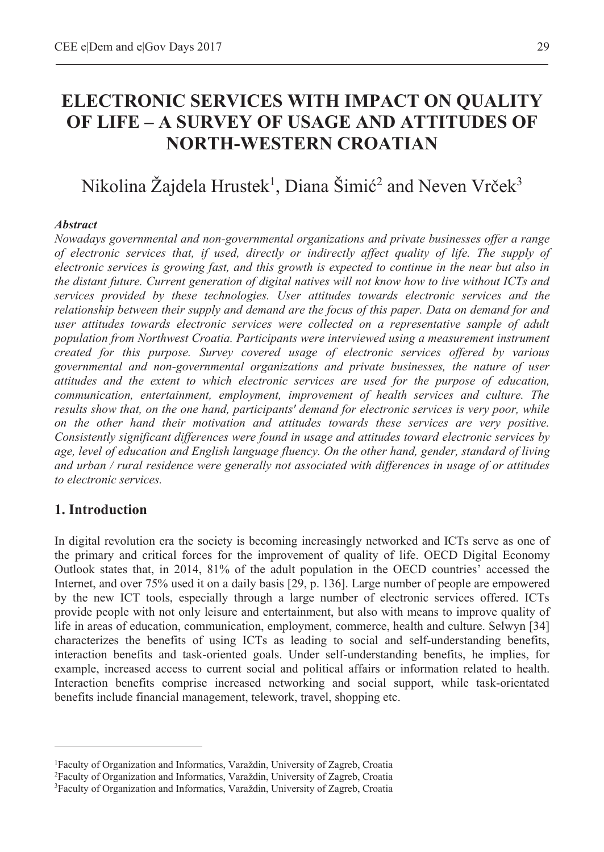# **ELECTRONIC SERVICES WITH IMPACT ON QUALITY OF LIFE – A SURVEY OF USAGE AND ATTITUDES OF NORTH-WESTERN CROATIAN**

# Nikolina Žajdela Hrustek $^1$ , Diana Šimić $^2$  and Neven Vrček $^3$

#### *Abstract*

*Nowadays governmental and non-governmental organizations and private businesses offer a range of electronic services that, if used, directly or indirectly affect quality of life. The supply of electronic services is growing fast, and this growth is expected to continue in the near but also in the distant future. Current generation of digital natives will not know how to live without ICTs and services provided by these technologies. User attitudes towards electronic services and the relationship between their supply and demand are the focus of this paper. Data on demand for and user attitudes towards electronic services were collected on a representative sample of adult population from Northwest Croatia. Participants were interviewed using a measurement instrument created for this purpose. Survey covered usage of electronic services offered by various governmental and non-governmental organizations and private businesses, the nature of user attitudes and the extent to which electronic services are used for the purpose of education, communication, entertainment, employment, improvement of health services and culture. The results show that, on the one hand, participants' demand for electronic services is very poor, while on the other hand their motivation and attitudes towards these services are very positive. Consistently significant differences were found in usage and attitudes toward electronic services by age, level of education and English language fluency. On the other hand, gender, standard of living and urban / rural residence were generally not associated with differences in usage of or attitudes to electronic services.* 

# **1. Introduction**

 $\overline{a}$ 

In digital revolution era the society is becoming increasingly networked and ICTs serve as one of the primary and critical forces for the improvement of quality of life. OECD Digital Economy Outlook states that, in 2014, 81% of the adult population in the OECD countries' accessed the Internet, and over 75% used it on a daily basis [29, p. 136]. Large number of people are empowered by the new ICT tools, especially through a large number of electronic services offered. ICTs provide people with not only leisure and entertainment, but also with means to improve quality of life in areas of education, communication, employment, commerce, health and culture. Selwyn [34] characterizes the benefits of using ICTs as leading to social and self-understanding benefits, interaction benefits and task-oriented goals. Under self-understanding benefits, he implies, for example, increased access to current social and political affairs or information related to health. Interaction benefits comprise increased networking and social support, while task-orientated benefits include financial management, telework, travel, shopping etc.

<sup>&</sup>lt;sup>1</sup> Faculty of Organization and Informatics, Varaždin, University of Zagreb, Croatia <sup>2</sup> Faculty of Organization and Informatics, Varaždin, University of Zagreb, Croatia Faculty of Organization and Informatics, Varaždin, University of Zagreb, Croatia 3

Faculty of Organization and Informatics, Varaždin, University of Zagreb, Croatia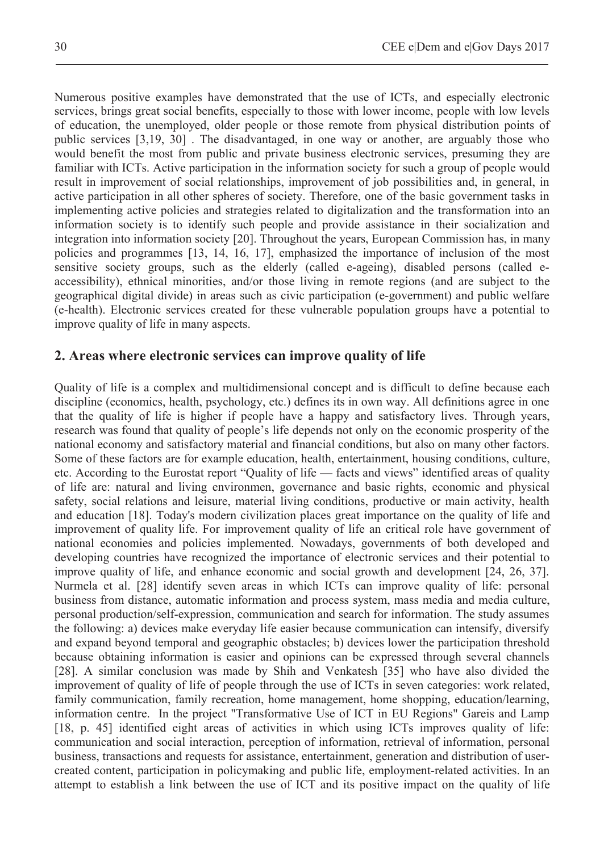Numerous positive examples have demonstrated that the use of ICTs, and especially electronic services, brings great social benefits, especially to those with lower income, people with low levels of education, the unemployed, older people or those remote from physical distribution points of public services [3,19, 30] . The disadvantaged, in one way or another, are arguably those who would benefit the most from public and private business electronic services, presuming they are familiar with ICTs. Active participation in the information society for such a group of people would result in improvement of social relationships, improvement of job possibilities and, in general, in active participation in all other spheres of society. Therefore, one of the basic government tasks in implementing active policies and strategies related to digitalization and the transformation into an information society is to identify such people and provide assistance in their socialization and integration into information society [20]. Throughout the years, European Commission has, in many policies and programmes [13, 14, 16, 17], emphasized the importance of inclusion of the most sensitive society groups, such as the elderly (called e-ageing), disabled persons (called eaccessibility), ethnical minorities, and/or those living in remote regions (and are subject to the geographical digital divide) in areas such as civic participation (e-government) and public welfare (e-health). Electronic services created for these vulnerable population groups have a potential to improve quality of life in many aspects.

# **2. Areas where electronic services can improve quality of life**

Quality of life is a complex and multidimensional concept and is difficult to define because each discipline (economics, health, psychology, etc.) defines its in own way. All definitions agree in one that the quality of life is higher if people have a happy and satisfactory lives. Through years, research was found that quality of people's life depends not only on the economic prosperity of the national economy and satisfactory material and financial conditions, but also on many other factors. Some of these factors are for example education, health, entertainment, housing conditions, culture, etc. According to the Eurostat report "Quality of life — facts and views" identified areas of quality of life are: natural and living environmen, governance and basic rights, economic and physical safety, social relations and leisure, material living conditions, productive or main activity, health and education [18]. Today's modern civilization places great importance on the quality of life and improvement of quality life. For improvement quality of life an critical role have government of national economies and policies implemented. Nowadays, governments of both developed and developing countries have recognized the importance of electronic services and their potential to improve quality of life, and enhance economic and social growth and development [24, 26, 37]. Nurmela et al. [28] identify seven areas in which ICTs can improve quality of life: personal business from distance, automatic information and process system, mass media and media culture, personal production/self-expression, communication and search for information. The study assumes the following: a) devices make everyday life easier because communication can intensify, diversify and expand beyond temporal and geographic obstacles; b) devices lower the participation threshold because obtaining information is easier and opinions can be expressed through several channels [28]. A similar conclusion was made by Shih and Venkatesh [35] who have also divided the improvement of quality of life of people through the use of ICTs in seven categories: work related, family communication, family recreation, home management, home shopping, education/learning, information centre. In the project "Transformative Use of ICT in EU Regions" Gareis and Lamp [18, p. 45] identified eight areas of activities in which using ICTs improves quality of life: communication and social interaction, perception of information, retrieval of information, personal business, transactions and requests for assistance, entertainment, generation and distribution of usercreated content, participation in policymaking and public life, employment-related activities. In an attempt to establish a link between the use of ICT and its positive impact on the quality of life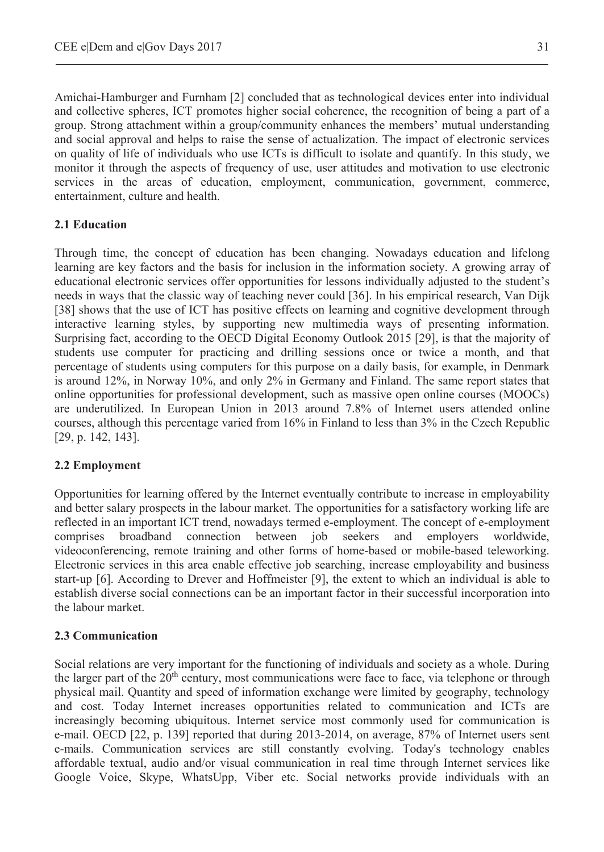Amichai-Hamburger and Furnham [2] concluded that as technological devices enter into individual and collective spheres, ICT promotes higher social coherence, the recognition of being a part of a group. Strong attachment within a group/community enhances the members' mutual understanding and social approval and helps to raise the sense of actualization. The impact of electronic services on quality of life of individuals who use ICTs is difficult to isolate and quantify. In this study, we monitor it through the aspects of frequency of use, user attitudes and motivation to use electronic services in the areas of education, employment, communication, government, commerce, entertainment, culture and health.

## **2.1 Education**

Through time, the concept of education has been changing. Nowadays education and lifelong learning are key factors and the basis for inclusion in the information society. A growing array of educational electronic services offer opportunities for lessons individually adjusted to the student's needs in ways that the classic way of teaching never could [36]. In his empirical research, Van Dijk [38] shows that the use of ICT has positive effects on learning and cognitive development through interactive learning styles, by supporting new multimedia ways of presenting information. Surprising fact, according to the OECD Digital Economy Outlook 2015 [29], is that the majority of students use computer for practicing and drilling sessions once or twice a month, and that percentage of students using computers for this purpose on a daily basis, for example, in Denmark is around 12%, in Norway 10%, and only 2% in Germany and Finland. The same report states that online opportunities for professional development, such as massive open online courses (MOOCs) are underutilized. In European Union in 2013 around 7.8% of Internet users attended online courses, although this percentage varied from 16% in Finland to less than 3% in the Czech Republic [29, p. 142, 143].

# **2.2 Employment**

Opportunities for learning offered by the Internet eventually contribute to increase in employability and better salary prospects in the labour market. The opportunities for a satisfactory working life are reflected in an important ICT trend, nowadays termed e-employment. The concept of e-employment comprises broadband connection between job seekers and employers worldwide, videoconferencing, remote training and other forms of home-based or mobile-based teleworking. Electronic services in this area enable effective job searching, increase employability and business start-up [6]. According to Drever and Hoffmeister [9], the extent to which an individual is able to establish diverse social connections can be an important factor in their successful incorporation into the labour market.

### **2.3 Communication**

Social relations are very important for the functioning of individuals and society as a whole. During the larger part of the 20<sup>th</sup> century, most communications were face to face, via telephone or through physical mail. Quantity and speed of information exchange were limited by geography, technology and cost. Today Internet increases opportunities related to communication and ICTs are increasingly becoming ubiquitous. Internet service most commonly used for communication is e-mail. OECD [22, p. 139] reported that during 2013-2014, on average, 87% of Internet users sent e-mails. Communication services are still constantly evolving. Today's technology enables affordable textual, audio and/or visual communication in real time through Internet services like Google Voice, Skype, WhatsUpp, Viber etc. Social networks provide individuals with an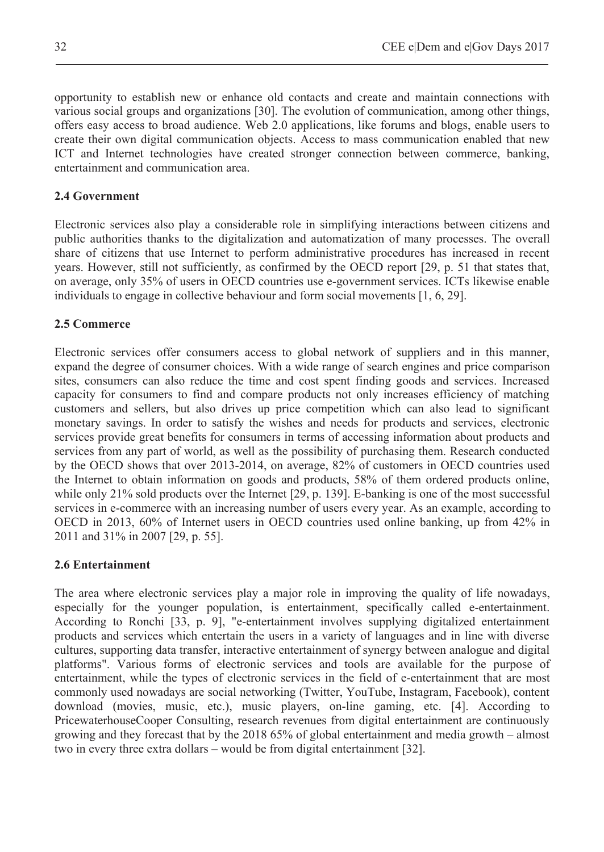opportunity to establish new or enhance old contacts and create and maintain connections with various social groups and organizations [30]. The evolution of communication, among other things, offers easy access to broad audience. Web 2.0 applications, like forums and blogs, enable users to create their own digital communication objects. Access to mass communication enabled that new ICT and Internet technologies have created stronger connection between commerce, banking, entertainment and communication area.

## **2.4 Government**

Electronic services also play a considerable role in simplifying interactions between citizens and public authorities thanks to the digitalization and automatization of many processes. The overall share of citizens that use Internet to perform administrative procedures has increased in recent years. However, still not sufficiently, as confirmed by the OECD report [29, p. 51 that states that, on average, only 35% of users in OECD countries use e-government services. ICTs likewise enable individuals to engage in collective behaviour and form social movements [1, 6, 29].

### **2.5 Commerce**

Electronic services offer consumers access to global network of suppliers and in this manner, expand the degree of consumer choices. With a wide range of search engines and price comparison sites, consumers can also reduce the time and cost spent finding goods and services. Increased capacity for consumers to find and compare products not only increases efficiency of matching customers and sellers, but also drives up price competition which can also lead to significant monetary savings. In order to satisfy the wishes and needs for products and services, electronic services provide great benefits for consumers in terms of accessing information about products and services from any part of world, as well as the possibility of purchasing them. Research conducted by the OECD shows that over 2013-2014, on average, 82% of customers in OECD countries used the Internet to obtain information on goods and products, 58% of them ordered products online, while only 21% sold products over the Internet [29, p. 139]. E-banking is one of the most successful services in e-commerce with an increasing number of users every year. As an example, according to OECD in 2013, 60% of Internet users in OECD countries used online banking, up from 42% in 2011 and 31% in 2007 [29, p. 55].

# **2.6 Entertainment**

The area where electronic services play a major role in improving the quality of life nowadays, especially for the younger population, is entertainment, specifically called e-entertainment. According to Ronchi [33, p. 9], "e-entertainment involves supplying digitalized entertainment products and services which entertain the users in a variety of languages and in line with diverse cultures, supporting data transfer, interactive entertainment of synergy between analogue and digital platforms". Various forms of electronic services and tools are available for the purpose of entertainment, while the types of electronic services in the field of e-entertainment that are most commonly used nowadays are social networking (Twitter, YouTube, Instagram, Facebook), content download (movies, music, etc.), music players, on-line gaming, etc. [4]. According to PricewaterhouseCooper Consulting, research revenues from digital entertainment are continuously growing and they forecast that by the 2018 65% of global entertainment and media growth – almost two in every three extra dollars – would be from digital entertainment [32].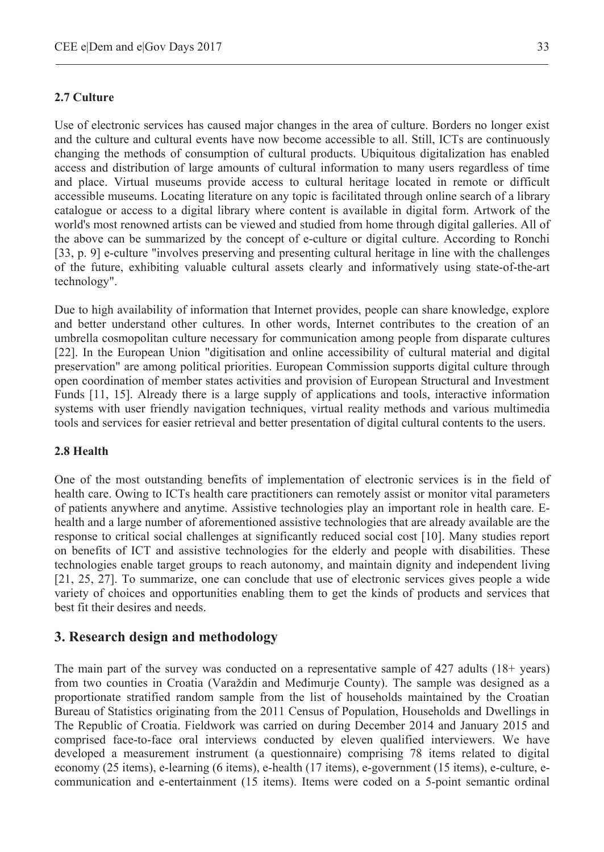### **2.7 Culture**

Use of electronic services has caused major changes in the area of culture. Borders no longer exist and the culture and cultural events have now become accessible to all. Still, ICTs are continuously changing the methods of consumption of cultural products. Ubiquitous digitalization has enabled access and distribution of large amounts of cultural information to many users regardless of time and place. Virtual museums provide access to cultural heritage located in remote or difficult accessible museums. Locating literature on any topic is facilitated through online search of a library catalogue or access to a digital library where content is available in digital form. Artwork of the world's most renowned artists can be viewed and studied from home through digital galleries. All of the above can be summarized by the concept of e-culture or digital culture. According to Ronchi [33, p. 9] e-culture "involves preserving and presenting cultural heritage in line with the challenges of the future, exhibiting valuable cultural assets clearly and informatively using state-of-the-art technology".

Due to high availability of information that Internet provides, people can share knowledge, explore and better understand other cultures. In other words, Internet contributes to the creation of an umbrella cosmopolitan culture necessary for communication among people from disparate cultures [22]. In the European Union "digitisation and online accessibility of cultural material and digital preservation" are among political priorities. European Commission supports digital culture through open coordination of member states activities and provision of European Structural and Investment Funds [11, 15]. Already there is a large supply of applications and tools, interactive information systems with user friendly navigation techniques, virtual reality methods and various multimedia tools and services for easier retrieval and better presentation of digital cultural contents to the users.

#### **2.8 Health**

One of the most outstanding benefits of implementation of electronic services is in the field of health care. Owing to ICTs health care practitioners can remotely assist or monitor vital parameters of patients anywhere and anytime. Assistive technologies play an important role in health care. Ehealth and a large number of aforementioned assistive technologies that are already available are the response to critical social challenges at significantly reduced social cost [10]. Many studies report on benefits of ICT and assistive technologies for the elderly and people with disabilities. These technologies enable target groups to reach autonomy, and maintain dignity and independent living [21, 25, 27]. To summarize, one can conclude that use of electronic services gives people a wide variety of choices and opportunities enabling them to get the kinds of products and services that best fit their desires and needs.

### **3. Research design and methodology**

The main part of the survey was conducted on a representative sample of 427 adults (18+ years) from two counties in Croatia (Varaždin and Međimurje County). The sample was designed as a proportionate stratified random sample from the list of households maintained by the Croatian Bureau of Statistics originating from the 2011 Census of Population, Households and Dwellings in The Republic of Croatia. Fieldwork was carried on during December 2014 and January 2015 and comprised face-to-face oral interviews conducted by eleven qualified interviewers. We have developed a measurement instrument (a questionnaire) comprising 78 items related to digital economy (25 items), e-learning (6 items), e-health (17 items), e-government (15 items), e-culture, ecommunication and e-entertainment (15 items). Items were coded on a 5-point semantic ordinal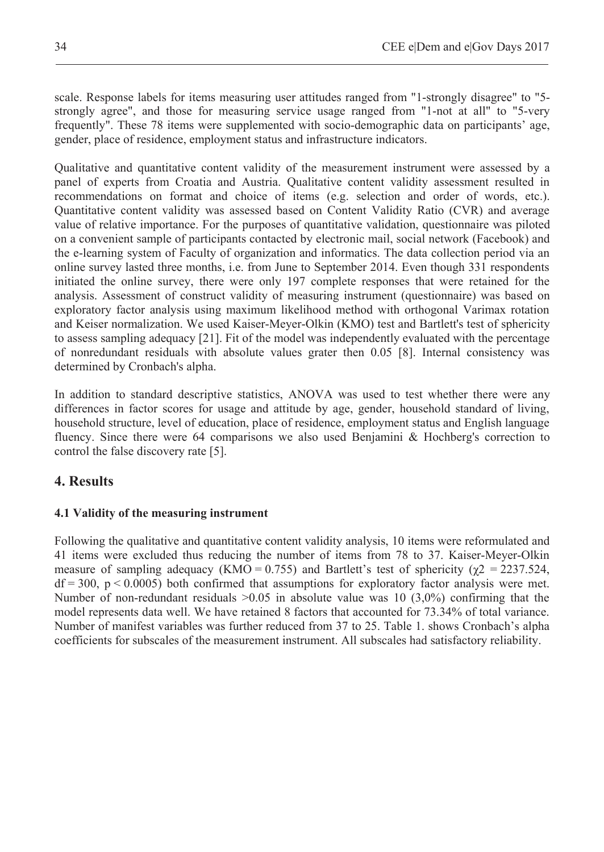scale. Response labels for items measuring user attitudes ranged from "1-strongly disagree" to "5 strongly agree", and those for measuring service usage ranged from "1-not at all" to "5-very frequently". These 78 items were supplemented with socio-demographic data on participants' age, gender, place of residence, employment status and infrastructure indicators.

Qualitative and quantitative content validity of the measurement instrument were assessed by a panel of experts from Croatia and Austria. Qualitative content validity assessment resulted in recommendations on format and choice of items (e.g. selection and order of words, etc.). Quantitative content validity was assessed based on Content Validity Ratio (CVR) and average value of relative importance. For the purposes of quantitative validation, questionnaire was piloted on a convenient sample of participants contacted by electronic mail, social network (Facebook) and the e-learning system of Faculty of organization and informatics. The data collection period via an online survey lasted three months, i.e. from June to September 2014. Even though 331 respondents initiated the online survey, there were only 197 complete responses that were retained for the analysis. Assessment of construct validity of measuring instrument (questionnaire) was based on exploratory factor analysis using maximum likelihood method with orthogonal Varimax rotation and Keiser normalization. We used Kaiser-Meyer-Olkin (KMO) test and Bartlett's test of sphericity to assess sampling adequacy [21]. Fit of the model was independently evaluated with the percentage of nonredundant residuals with absolute values grater then 0.05 [8]. Internal consistency was determined by Cronbach's alpha.

In addition to standard descriptive statistics, ANOVA was used to test whether there were any differences in factor scores for usage and attitude by age, gender, household standard of living, household structure, level of education, place of residence, employment status and English language fluency. Since there were 64 comparisons we also used Benjamini & Hochberg's correction to control the false discovery rate [5].

# **4. Results**

### **4.1 Validity of the measuring instrument**

Following the qualitative and quantitative content validity analysis, 10 items were reformulated and 41 items were excluded thus reducing the number of items from 78 to 37. Kaiser-Meyer-Olkin measure of sampling adequacy (KMO =  $0.755$ ) and Bartlett's test of sphericity ( $\gamma$ 2 = 2237.524,  $df = 300$ ,  $p < 0.0005$ ) both confirmed that assumptions for exploratory factor analysis were met. Number of non-redundant residuals  $>0.05$  in absolute value was 10 (3.0%) confirming that the model represents data well. We have retained 8 factors that accounted for 73.34% of total variance. Number of manifest variables was further reduced from 37 to 25. Table 1. shows Cronbach's alpha coefficients for subscales of the measurement instrument. All subscales had satisfactory reliability.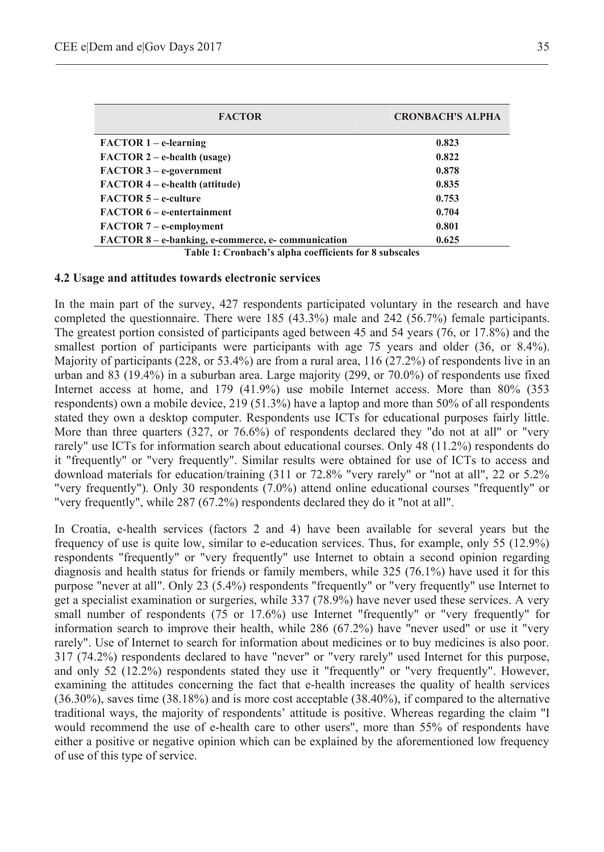| <b>FACTOR</b>                                     | <b>CRONBACH'S ALPHA</b> |  |  |  |  |
|---------------------------------------------------|-------------------------|--|--|--|--|
| $FACTOR 1 - e-learning$                           | 0.823                   |  |  |  |  |
| $FACTOR 2 - e-health (usage)$                     | 0.822                   |  |  |  |  |
| $FACTOR 3 - e-qovernment$                         | 0.878                   |  |  |  |  |
| $FACTOR 4 - e-health (attitude)$                  | 0.835                   |  |  |  |  |
| <b>FACTOR 5 – e-culture</b>                       | 0.753                   |  |  |  |  |
| <b>FACTOR 6 – e-entertainment</b>                 | 0.704                   |  |  |  |  |
| $FACTOR 7 - e-employment$                         | 0.801                   |  |  |  |  |
| FACTOR 8 – e-banking, e-commerce, e-communication | 0.625                   |  |  |  |  |

**Table 1: Cronbach's alpha coefficients for 8 subscales** 

#### **4.2 Usage and attitudes towards electronic services**

In the main part of the survey, 427 respondents participated voluntary in the research and have completed the questionnaire. There were 185 (43.3%) male and 242 (56.7%) female participants. The greatest portion consisted of participants aged between 45 and 54 years (76, or 17.8%) and the smallest portion of participants were participants with age 75 years and older (36, or 8.4%). Majority of participants (228, or 53.4%) are from a rural area, 116 (27.2%) of respondents live in an urban and 83 (19.4%) in a suburban area. Large majority (299, or 70.0%) of respondents use fixed Internet access at home, and 179 (41.9%) use mobile Internet access. More than 80% (353 respondents) own a mobile device, 219 (51.3%) have a laptop and more than 50% of all respondents stated they own a desktop computer. Respondents use ICTs for educational purposes fairly little. More than three quarters (327, or 76.6%) of respondents declared they "do not at all" or "very rarely" use ICTs for information search about educational courses. Only 48 (11.2%) respondents do it "frequently" or "very frequently". Similar results were obtained for use of ICTs to access and download materials for education/training (311 or 72.8% "very rarely" or "not at all", 22 or 5.2% "very frequently"). Only 30 respondents (7.0%) attend online educational courses "frequently" or "very frequently", while 287 (67.2%) respondents declared they do it "not at all".

In Croatia, e-health services (factors 2 and 4) have been available for several years but the frequency of use is quite low, similar to e-education services. Thus, for example, only 55 (12.9%) respondents "frequently" or "very frequently" use Internet to obtain a second opinion regarding diagnosis and health status for friends or family members, while 325 (76.1%) have used it for this purpose "never at all". Only 23 (5.4%) respondents "frequently" or "very frequently" use Internet to get a specialist examination or surgeries, while 337 (78.9%) have never used these services. A very small number of respondents (75 or 17.6%) use Internet "frequently" or "very frequently" for information search to improve their health, while 286 (67.2%) have "never used" or use it "very rarely". Use of Internet to search for information about medicines or to buy medicines is also poor. 317 (74.2%) respondents declared to have "never" or "very rarely" used Internet for this purpose, and only 52 (12.2%) respondents stated they use it "frequently" or "very frequently". However, examining the attitudes concerning the fact that e-health increases the quality of health services (36.30%), saves time (38.18%) and is more cost acceptable (38.40%), if compared to the alternative traditional ways, the majority of respondents' attitude is positive. Whereas regarding the claim "I would recommend the use of e-health care to other users", more than 55% of respondents have either a positive or negative opinion which can be explained by the aforementioned low frequency of use of this type of service.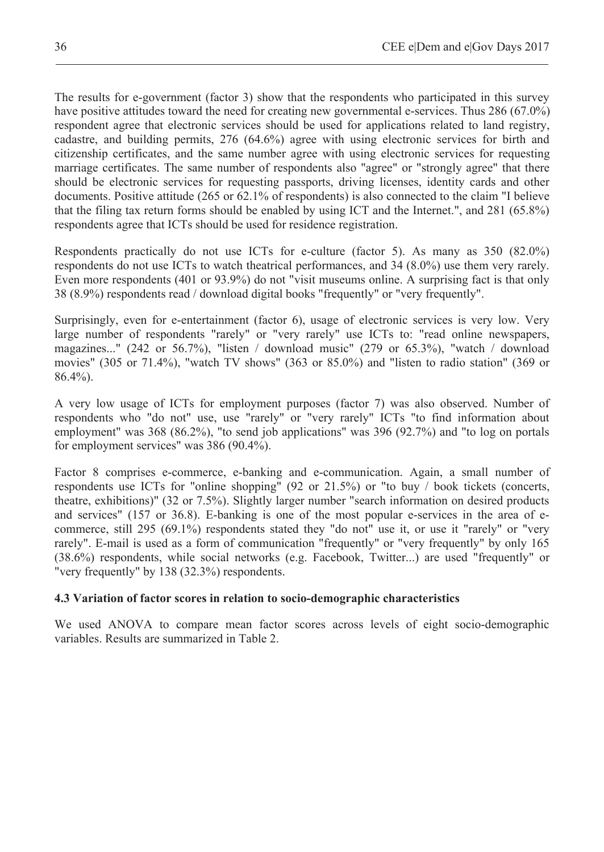The results for e-government (factor 3) show that the respondents who participated in this survey have positive attitudes toward the need for creating new governmental e-services. Thus 286 (67.0%) respondent agree that electronic services should be used for applications related to land registry, cadastre, and building permits, 276 (64.6%) agree with using electronic services for birth and citizenship certificates, and the same number agree with using electronic services for requesting marriage certificates. The same number of respondents also "agree" or "strongly agree" that there should be electronic services for requesting passports, driving licenses, identity cards and other documents. Positive attitude (265 or 62.1% of respondents) is also connected to the claim "I believe that the filing tax return forms should be enabled by using ICT and the Internet.", and 281 (65.8%) respondents agree that ICTs should be used for residence registration.

Respondents practically do not use ICTs for e-culture (factor 5). As many as 350 (82.0%) respondents do not use ICTs to watch theatrical performances, and 34 (8.0%) use them very rarely. Even more respondents (401 or 93.9%) do not "visit museums online. A surprising fact is that only 38 (8.9%) respondents read / download digital books "frequently" or "very frequently".

Surprisingly, even for e-entertainment (factor 6), usage of electronic services is very low. Very large number of respondents "rarely" or "very rarely" use ICTs to: "read online newspapers, magazines..." (242 or 56.7%), "listen / download music" (279 or 65.3%), "watch / download movies" (305 or 71.4%), "watch TV shows" (363 or 85.0%) and "listen to radio station" (369 or 86.4%).

A very low usage of ICTs for employment purposes (factor 7) was also observed. Number of respondents who "do not" use, use "rarely" or "very rarely" ICTs "to find information about employment" was 368 (86.2%), "to send job applications" was 396 (92.7%) and "to log on portals for employment services" was 386 (90.4%).

Factor 8 comprises e-commerce, e-banking and e-communication. Again, a small number of respondents use ICTs for "online shopping" (92 or 21.5%) or "to buy / book tickets (concerts, theatre, exhibitions)" (32 or 7.5%). Slightly larger number "search information on desired products and services" (157 or 36.8). E-banking is one of the most popular e-services in the area of ecommerce, still 295 (69.1%) respondents stated they "do not" use it, or use it "rarely" or "very rarely". E-mail is used as a form of communication "frequently" or "very frequently" by only 165 (38.6%) respondents, while social networks (e.g. Facebook, Twitter...) are used "frequently" or "very frequently" by 138 (32.3%) respondents.

### **4.3 Variation of factor scores in relation to socio-demographic characteristics**

We used ANOVA to compare mean factor scores across levels of eight socio-demographic variables. Results are summarized in Table 2.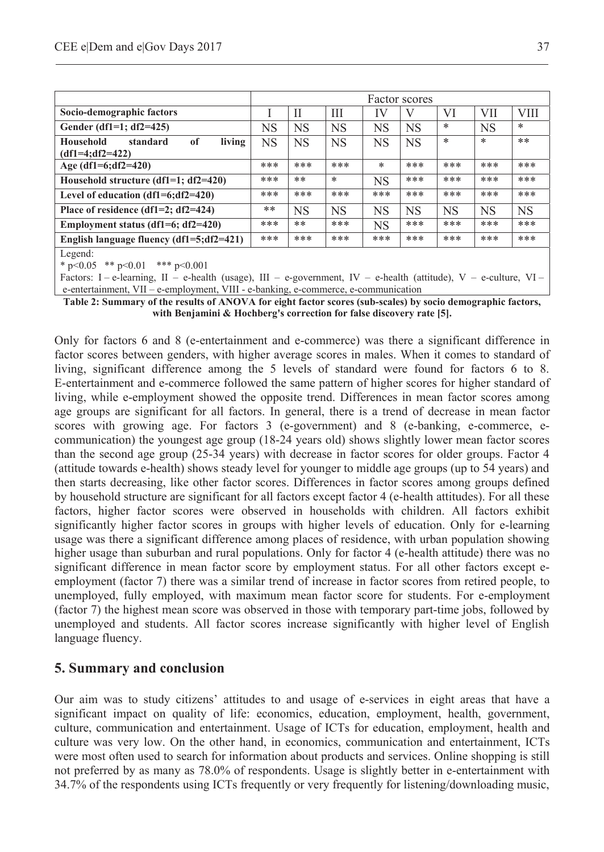|                                                                              | Factor scores |           |           |           |           |           |            |           |
|------------------------------------------------------------------------------|---------------|-----------|-----------|-----------|-----------|-----------|------------|-----------|
| Socio-demographic factors                                                    |               | Н         | Ш         | IV        |           | VI        | <b>VII</b> | VIII      |
| Gender (df1=1; $df2=425$ )                                                   | NS            | <b>NS</b> | <b>NS</b> | <b>NS</b> | <b>NS</b> | *         | <b>NS</b>  | $\ast$    |
| living<br><sub>of</sub><br><b>Household</b><br>standard<br>$(df1=4;df2=422)$ | <b>NS</b>     | <b>NS</b> | <b>NS</b> | <b>NS</b> | <b>NS</b> | *         | $\ast$     | $***$     |
| Age $(df1=6;df2=420)$                                                        | ***           | ***       | ***       | *         | ***       | ***       | ***        | ***       |
| Household structure $(df1=1; df2=420)$                                       | ***           | $**$      | $\ast$    | <b>NS</b> | ***       | ***       | ***        | ***       |
| Level of education $(df1=6;df2=420)$                                         | ***           | ***       | ***       | ***       | ***       | ***       | ***        | ***       |
| Place of residence (df1=2; df2=424)                                          | **            | <b>NS</b> | <b>NS</b> | <b>NS</b> | <b>NS</b> | <b>NS</b> | <b>NS</b>  | <b>NS</b> |
| Employment status (df1=6; df2=420)                                           | ***           | $**$      | ***       | <b>NS</b> | ***       | ***       | ***        | ***       |
| English language fluency $(df1=5;df2=421)$                                   | ***           | ***       | ***       | ***       | ***       | ***       | ***        | ***       |
| Legend:<br>* $p<0.05$ ** $p<0.01$<br>*** $p<0.001$                           |               |           |           |           |           |           |            |           |

Factors: I – e-learning, II – e-health (usage), III – e-government, IV – e-health (attitude), V – e-culture, VI – e-entertainment, VII – e-employment, VIII - e-banking, e-commerce, e-communication

**Table 2: Summary of the results of ANOVA for eight factor scores (sub-scales) by socio demographic factors, with Benjamini & Hochberg's correction for false discovery rate [5].** 

Only for factors 6 and 8 (e-entertainment and e-commerce) was there a significant difference in factor scores between genders, with higher average scores in males. When it comes to standard of living, significant difference among the 5 levels of standard were found for factors 6 to 8. E-entertainment and e-commerce followed the same pattern of higher scores for higher standard of living, while e-employment showed the opposite trend. Differences in mean factor scores among age groups are significant for all factors. In general, there is a trend of decrease in mean factor scores with growing age. For factors 3 (e-government) and 8 (e-banking, e-commerce, ecommunication) the youngest age group (18-24 years old) shows slightly lower mean factor scores than the second age group (25-34 years) with decrease in factor scores for older groups. Factor 4 (attitude towards e-health) shows steady level for younger to middle age groups (up to 54 years) and then starts decreasing, like other factor scores. Differences in factor scores among groups defined by household structure are significant for all factors except factor 4 (e-health attitudes). For all these factors, higher factor scores were observed in households with children. All factors exhibit significantly higher factor scores in groups with higher levels of education. Only for e-learning usage was there a significant difference among places of residence, with urban population showing higher usage than suburban and rural populations. Only for factor 4 (e-health attitude) there was no significant difference in mean factor score by employment status. For all other factors except eemployment (factor 7) there was a similar trend of increase in factor scores from retired people, to unemployed, fully employed, with maximum mean factor score for students. For e-employment (factor 7) the highest mean score was observed in those with temporary part-time jobs, followed by unemployed and students. All factor scores increase significantly with higher level of English language fluency.

# **5. Summary and conclusion**

Our aim was to study citizens' attitudes to and usage of e-services in eight areas that have a significant impact on quality of life: economics, education, employment, health, government, culture, communication and entertainment. Usage of ICTs for education, employment, health and culture was very low. On the other hand, in economics, communication and entertainment, ICTs were most often used to search for information about products and services. Online shopping is still not preferred by as many as 78.0% of respondents. Usage is slightly better in e-entertainment with 34.7% of the respondents using ICTs frequently or very frequently for listening/downloading music,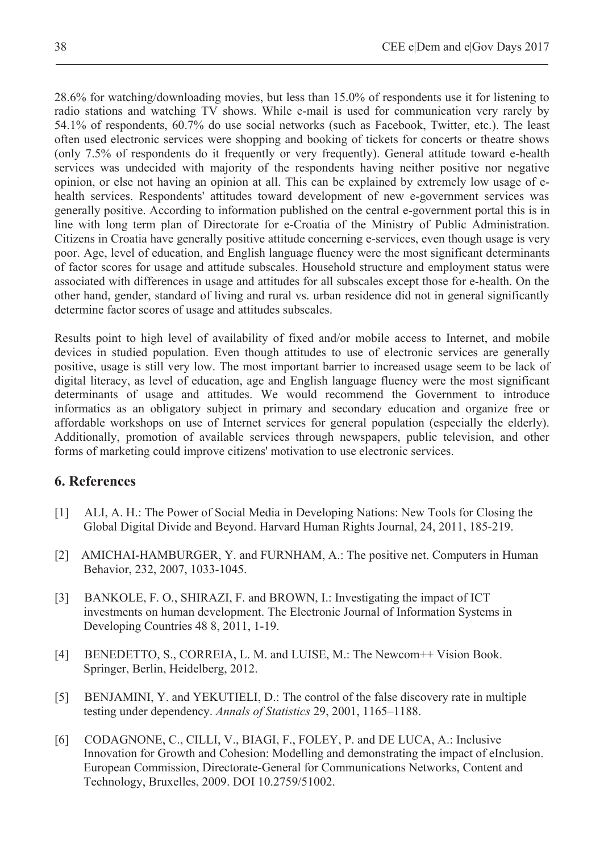28.6% for watching/downloading movies, but less than 15.0% of respondents use it for listening to radio stations and watching TV shows. While e-mail is used for communication very rarely by 54.1% of respondents, 60.7% do use social networks (such as Facebook, Twitter, etc.). The least often used electronic services were shopping and booking of tickets for concerts or theatre shows (only 7.5% of respondents do it frequently or very frequently). General attitude toward e-health services was undecided with majority of the respondents having neither positive nor negative opinion, or else not having an opinion at all. This can be explained by extremely low usage of ehealth services. Respondents' attitudes toward development of new e-government services was generally positive. According to information published on the central e-government portal this is in line with long term plan of Directorate for e-Croatia of the Ministry of Public Administration. Citizens in Croatia have generally positive attitude concerning e-services, even though usage is very poor. Age, level of education, and English language fluency were the most significant determinants of factor scores for usage and attitude subscales. Household structure and employment status were associated with differences in usage and attitudes for all subscales except those for e-health. On the other hand, gender, standard of living and rural vs. urban residence did not in general significantly determine factor scores of usage and attitudes subscales.

Results point to high level of availability of fixed and/or mobile access to Internet, and mobile devices in studied population. Even though attitudes to use of electronic services are generally positive, usage is still very low. The most important barrier to increased usage seem to be lack of digital literacy, as level of education, age and English language fluency were the most significant determinants of usage and attitudes. We would recommend the Government to introduce informatics as an obligatory subject in primary and secondary education and organize free or affordable workshops on use of Internet services for general population (especially the elderly). Additionally, promotion of available services through newspapers, public television, and other forms of marketing could improve citizens' motivation to use electronic services.

# **6. References**

- [1] ALI, A. H.: The Power of Social Media in Developing Nations: New Tools for Closing the Global Digital Divide and Beyond. Harvard Human Rights Journal, 24, 2011, 185-219.
- [2] AMICHAI-HAMBURGER, Y. and FURNHAM, A.: The positive net. Computers in Human Behavior, 232, 2007, 1033-1045.
- [3] BANKOLE, F. O., SHIRAZI, F. and BROWN, I.: Investigating the impact of ICT investments on human development. The Electronic Journal of Information Systems in Developing Countries 48 8, 2011, 1-19.
- [4] BENEDETTO, S., CORREIA, L. M. and LUISE, M.: The Newcom++ Vision Book. Springer, Berlin, Heidelberg, 2012.
- [5] BENJAMINI, Y. and YEKUTIELI, D.: The control of the false discovery rate in multiple testing under dependency. *Annals of Statistics* 29, 2001, 1165–1188.
- [6] CODAGNONE, C., CILLI, V., BIAGI, F., FOLEY, P. and DE LUCA, A.: Inclusive Innovation for Growth and Cohesion: Modelling and demonstrating the impact of eInclusion. European Commission, Directorate-General for Communications Networks, Content and Technology, Bruxelles, 2009. DOI 10.2759/51002.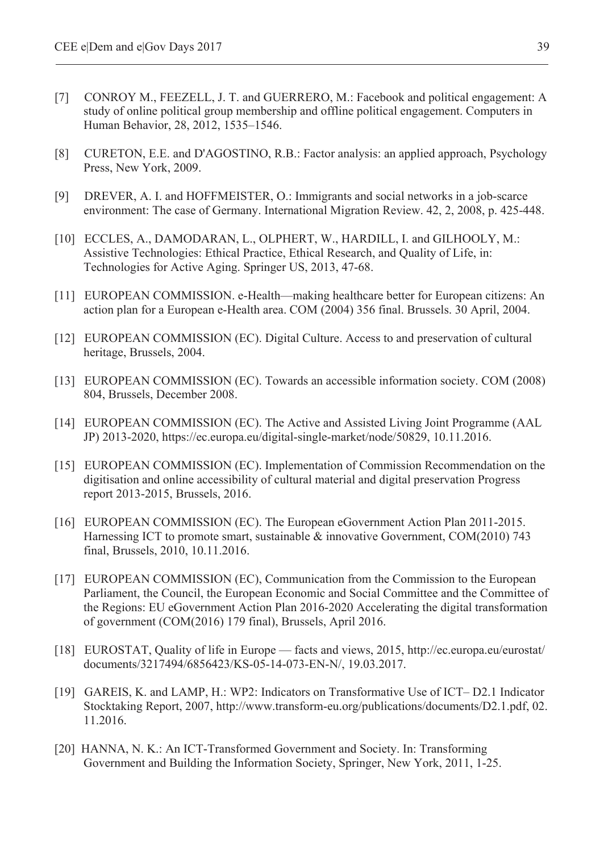- [7] CONROY M., FEEZELL, J. T. and GUERRERO, M.: Facebook and political engagement: A study of online political group membership and offline political engagement. Computers in Human Behavior, 28, 2012, 1535–1546.
- [8] CURETON, E.E. and D'AGOSTINO, R.B.: Factor analysis: an applied approach, Psychology Press, New York, 2009.
- [9] DREVER, A. I. and HOFFMEISTER, O.: Immigrants and social networks in a job-scarce environment: The case of Germany. International Migration Review. 42, 2, 2008, p. 425-448.
- [10] ECCLES, A., DAMODARAN, L., OLPHERT, W., HARDILL, I. and GILHOOLY, M.: Assistive Technologies: Ethical Practice, Ethical Research, and Quality of Life, in: Technologies for Active Aging. Springer US, 2013, 47-68.
- [11] EUROPEAN COMMISSION. e-Health—making healthcare better for European citizens: An action plan for a European e-Health area. COM (2004) 356 final. Brussels. 30 April, 2004.
- [12] EUROPEAN COMMISSION (EC). Digital Culture. Access to and preservation of cultural heritage, Brussels, 2004.
- [13] EUROPEAN COMMISSION (EC). Towards an accessible information society. COM (2008) 804, Brussels, December 2008.
- [14] EUROPEAN COMMISSION (EC). The Active and Assisted Living Joint Programme (AAL JP) 2013-2020, https://ec.europa.eu/digital-single-market/node/50829, 10.11.2016.
- [15] EUROPEAN COMMISSION (EC). Implementation of Commission Recommendation on the digitisation and online accessibility of cultural material and digital preservation Progress report 2013-2015, Brussels, 2016.
- [16] EUROPEAN COMMISSION (EC). The European eGovernment Action Plan 2011-2015. Harnessing ICT to promote smart, sustainable & innovative Government, COM(2010) 743 final, Brussels, 2010, 10.11.2016.
- [17] EUROPEAN COMMISSION (EC), Communication from the Commission to the European Parliament, the Council, the European Economic and Social Committee and the Committee of the Regions: EU eGovernment Action Plan 2016-2020 Accelerating the digital transformation of government (COM(2016) 179 final), Brussels, April 2016.
- [18] EUROSTAT, Quality of life in Europe facts and views, 2015, http://ec.europa.eu/eurostat/ documents/3217494/6856423/KS-05-14-073-EN-N/, 19.03.2017.
- [19] GAREIS, K. and LAMP, H.: WP2: Indicators on Transformative Use of ICT– D2.1 Indicator Stocktaking Report, 2007, http://www.transform-eu.org/publications/documents/D2.1.pdf, 02. 11.2016.
- [20] HANNA, N. K.: An ICT-Transformed Government and Society. In: Transforming Government and Building the Information Society, Springer, New York, 2011, 1-25.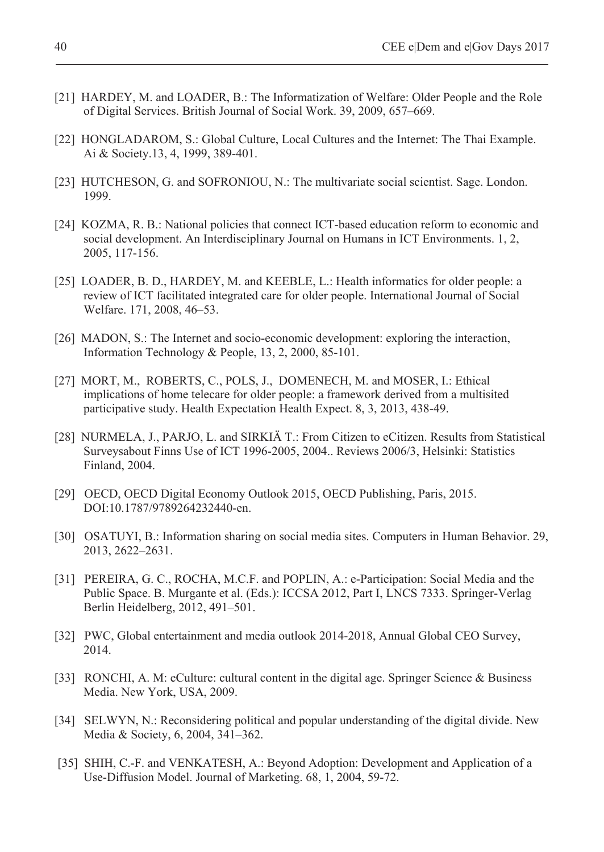- [21] HARDEY, M. and LOADER, B.: The Informatization of Welfare: Older People and the Role of Digital Services. British Journal of Social Work. 39, 2009, 657–669.
- [22] HONGLADAROM, S.: Global Culture, Local Cultures and the Internet: The Thai Example. Ai & Society.13, 4, 1999, 389-401.
- [23] HUTCHESON, G. and SOFRONIOU, N.: The multivariate social scientist. Sage. London. 1999.
- [24] KOZMA, R. B.: National policies that connect ICT-based education reform to economic and social development. An Interdisciplinary Journal on Humans in ICT Environments. 1, 2, 2005, 117-156.
- [25] LOADER, B. D., HARDEY, M. and KEEBLE, L.: Health informatics for older people: a review of ICT facilitated integrated care for older people. International Journal of Social Welfare. 171, 2008, 46–53.
- [26] MADON, S.: The Internet and socio-economic development: exploring the interaction, Information Technology & People, 13, 2, 2000, 85-101.
- [27] MORT, M., ROBERTS, C., POLS, J., DOMENECH, M. and MOSER, I.: Ethical implications of home telecare for older people: a framework derived from a multisited participative study. Health Expectation Health Expect. 8, 3, 2013, 438-49.
- [28] NURMELA, J., PARJO, L. and SIRKIÄ T.: From Citizen to eCitizen. Results from Statistical Surveysabout Finns Use of ICT 1996-2005, 2004.. Reviews 2006/3, Helsinki: Statistics Finland, 2004.
- [29] OECD, OECD Digital Economy Outlook 2015, OECD Publishing, Paris, 2015. DOI:10.1787/9789264232440-en.
- [30] OSATUYI, B.: Information sharing on social media sites. Computers in Human Behavior. 29, 2013, 2622–2631.
- [31] PEREIRA, G. C., ROCHA, M.C.F. and POPLIN, A.: e-Participation: Social Media and the Public Space. B. Murgante et al. (Eds.): ICCSA 2012, Part I, LNCS 7333. Springer-Verlag Berlin Heidelberg, 2012, 491–501.
- [32] PWC, Global entertainment and media outlook 2014-2018, Annual Global CEO Survey, 2014.
- [33] RONCHI, A. M: eCulture: cultural content in the digital age. Springer Science & Business Media. New York, USA, 2009.
- [34] SELWYN, N.: Reconsidering political and popular understanding of the digital divide. New Media & Society, 6, 2004, 341–362.
- [35] SHIH, C.-F. and VENKATESH, A.: Beyond Adoption: Development and Application of a Use-Diffusion Model. Journal of Marketing. 68, 1, 2004, 59-72.